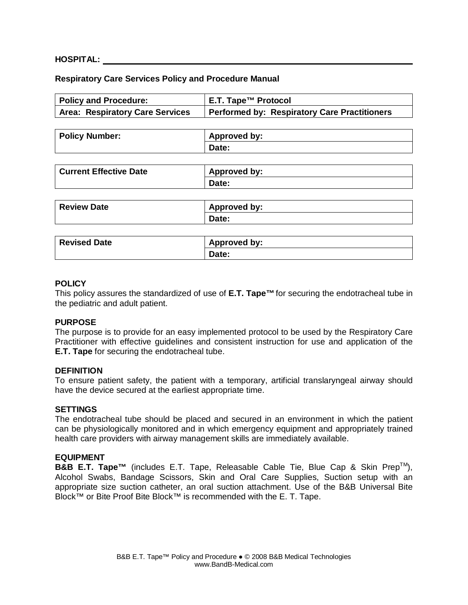### **HOSPITAL:**

### **Respiratory Care Services Policy and Procedure Manual**

| <b>Policy and Procedure:</b>           | E.T. Tape™ Protocol                                 |
|----------------------------------------|-----------------------------------------------------|
| <b>Area: Respiratory Care Services</b> | <b>Performed by: Respiratory Care Practitioners</b> |
|                                        |                                                     |
| <b>Policy Number:</b>                  | <b>Approved by:</b>                                 |
|                                        | Date:                                               |
|                                        |                                                     |
| <b>Current Effective Date</b>          | <b>Approved by:</b>                                 |
|                                        | Date:                                               |
|                                        |                                                     |
| <b>Review Date</b>                     | <b>Approved by:</b>                                 |
|                                        | Date:                                               |
|                                        |                                                     |
| <b>Revised Date</b>                    | <b>Approved by:</b>                                 |
|                                        | Date:                                               |

### **POLICY**

This policy assures the standardized of use of **E.T. Tape™**for securing the endotracheal tube in the pediatric and adult patient.

### **PURPOSE**

The purpose is to provide for an easy implemented protocol to be used by the Respiratory Care Practitioner with effective guidelines and consistent instruction for use and application of the **E.T. Tape** for securing the endotracheal tube.

### **DEFINITION**

To ensure patient safety, the patient with a temporary, artificial translaryngeal airway should have the device secured at the earliest appropriate time.

#### **SETTINGS**

The endotracheal tube should be placed and secured in an environment in which the patient can be physiologically monitored and in which emergency equipment and appropriately trained health care providers with airway management skills are immediately available.

### **EQUIPMENT**

**B&B E.T. Tape™** (includes E.T. Tape, Releasable Cable Tie, Blue Cap & Skin Prep<sup>™</sup>), Alcohol Swabs, Bandage Scissors, Skin and Oral Care Supplies, Suction setup with an appropriate size suction catheter, an oral suction attachment. Use of the B&B Universal Bite Block™ or Bite Proof Bite Block™ is recommended with the E. T. Tape.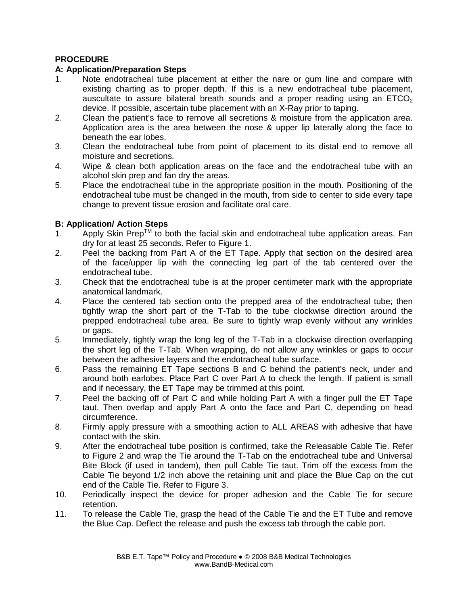# **PROCEDURE**

## **A: Application/Preparation Steps**

- 1. Note endotracheal tube placement at either the nare or gum line and compare with existing charting as to proper depth. If this is a new endotracheal tube placement, auscultate to assure bilateral breath sounds and a proper reading using an  $ETCO<sub>2</sub>$ device. If possible, ascertain tube placement with an X-Ray prior to taping.
- 2. Clean the patient's face to remove all secretions & moisture from the application area. Application area is the area between the nose & upper lip laterally along the face to beneath the ear lobes.
- 3. Clean the endotracheal tube from point of placement to its distal end to remove all moisture and secretions.
- 4. Wipe & clean both application areas on the face and the endotracheal tube with an alcohol skin prep and fan dry the areas.
- 5. Place the endotracheal tube in the appropriate position in the mouth. Positioning of the endotracheal tube must be changed in the mouth, from side to center to side every tape change to prevent tissue erosion and facilitate oral care.

# **B: Application/ Action Steps**

- 1. Apply Skin Prep<sup>TM</sup> to both the facial skin and endotracheal tube application areas. Fan dry for at least 25 seconds. Refer to Figure 1.
- 2. Peel the backing from Part A of the ET Tape. Apply that section on the desired area of the face/upper lip with the connecting leg part of the tab centered over the endotracheal tube.
- 3. Check that the endotracheal tube is at the proper centimeter mark with the appropriate anatomical landmark.
- 4. Place the centered tab section onto the prepped area of the endotracheal tube; then tightly wrap the short part of the T-Tab to the tube clockwise direction around the prepped endotracheal tube area. Be sure to tightly wrap evenly without any wrinkles or gaps.
- 5. Immediately, tightly wrap the long leg of the T-Tab in a clockwise direction overlapping the short leg of the T-Tab. When wrapping, do not allow any wrinkles or gaps to occur between the adhesive layers and the endotracheal tube surface.
- 6. Pass the remaining ET Tape sections B and C behind the patient's neck, under and around both earlobes. Place Part C over Part A to check the length. If patient is small and if necessary, the ET Tape may be trimmed at this point.
- 7. Peel the backing off of Part C and while holding Part A with a finger pull the ET Tape taut. Then overlap and apply Part A onto the face and Part C, depending on head circumference.
- 8. Firmly apply pressure with a smoothing action to ALL AREAS with adhesive that have contact with the skin.
- 9. After the endotracheal tube position is confirmed, take the Releasable Cable Tie. Refer to Figure 2 and wrap the Tie around the T-Tab on the endotracheal tube and Universal Bite Block (if used in tandem), then pull Cable Tie taut. Trim off the excess from the Cable Tie beyond 1/2 inch above the retaining unit and place the Blue Cap on the cut end of the Cable Tie. Refer to Figure 3.
- 10. Periodically inspect the device for proper adhesion and the Cable Tie for secure retention.
- 11. To release the Cable Tie, grasp the head of the Cable Tie and the ET Tube and remove the Blue Cap. Deflect the release and push the excess tab through the cable port.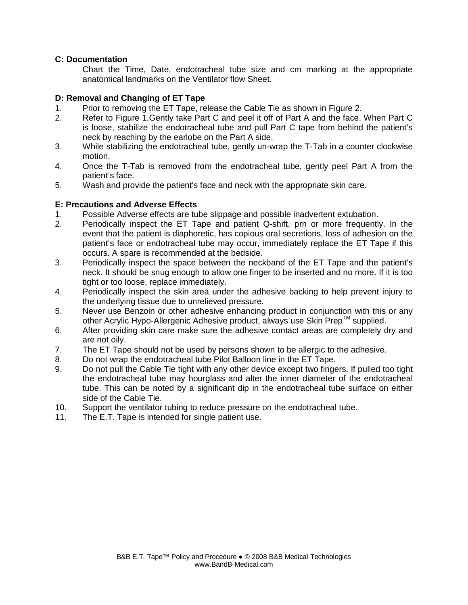## **C: Documentation**

 Chart the Time, Date, endotracheal tube size and cm marking at the appropriate anatomical landmarks on the Ventilator flow Sheet.

## **D: Removal and Changing of ET Tape**

- 1. Prior to removing the ET Tape, release the Cable Tie as shown in Figure 2.
- 2. Refer to Figure 1.Gently take Part C and peel it off of Part A and the face. When Part C is loose, stabilize the endotracheal tube and pull Part C tape from behind the patient's neck by reaching by the earlobe on the Part A side.
- 3. While stabilizing the endotracheal tube, gently un-wrap the T-Tab in a counter clockwise motion.
- 4. Once the T-Tab is removed from the endotracheal tube, gently peel Part A from the patient's face.
- 5. Wash and provide the patient's face and neck with the appropriate skin care.

## **E: Precautions and Adverse Effects**

- 1. Possible Adverse effects are tube slippage and possible inadvertent extubation.
- 2. Periodically inspect the ET Tape and patient Q-shift, prn or more frequently. In the event that the patient is diaphoretic, has copious oral secretions, loss of adhesion on the patient's face or endotracheal tube may occur, immediately replace the ET Tape if this occurs. A spare is recommended at the bedside.
- 3. Periodically inspect the space between the neckband of the ET Tape and the patient's neck. It should be snug enough to allow one finger to be inserted and no more. If it is too tight or too loose, replace immediately.
- 4. Periodically inspect the skin area under the adhesive backing to help prevent injury to the underlying tissue due to unrelieved pressure.
- 5. Never use Benzoin or other adhesive enhancing product in conjunction with this or any other Acrylic Hypo-Allergenic Adhesive product, always use Skin Prep™ supplied.
- 6. After providing skin care make sure the adhesive contact areas are completely dry and are not oily.
- 7. The ET Tape should not be used by persons shown to be allergic to the adhesive.
- 8. Do not wrap the endotracheal tube Pilot Balloon line in the ET Tape.
- 9. Do not pull the Cable Tie tight with any other device except two fingers. If pulled too tight the endotracheal tube may hourglass and alter the inner diameter of the endotracheal tube. This can be noted by a significant dip in the endotracheal tube surface on either side of the Cable Tie.
- 10. Support the ventilator tubing to reduce pressure on the endotracheal tube.
- 11. The E.T. Tape is intended for single patient use.